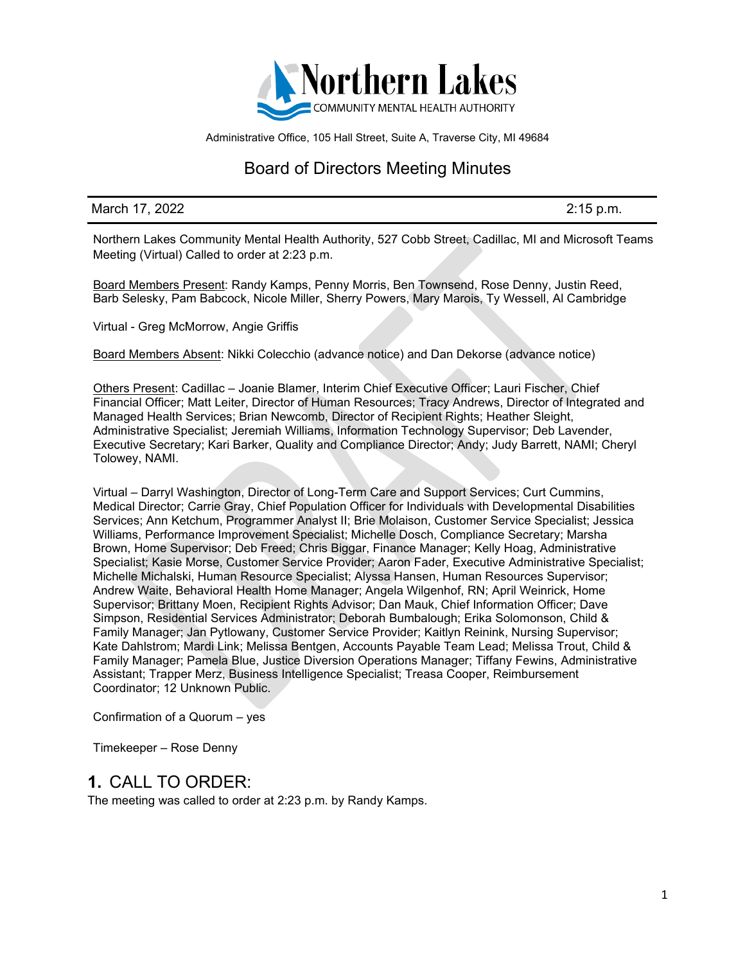

Administrative Office, 105 Hall Street, Suite A, Traverse City, MI 49684

## Board of Directors Meeting Minutes

#### March 17, 2022 **2:15 p.m.**

Northern Lakes Community Mental Health Authority, 527 Cobb Street, Cadillac, MI and Microsoft Teams Meeting (Virtual) Called to order at 2:23 p.m.

Board Members Present: Randy Kamps, Penny Morris, Ben Townsend, Rose Denny, Justin Reed, Barb Selesky, Pam Babcock, Nicole Miller, Sherry Powers, Mary Marois, Ty Wessell, Al Cambridge

Virtual - Greg McMorrow, Angie Griffis

Board Members Absent: Nikki Colecchio (advance notice) and Dan Dekorse (advance notice)

Others Present: Cadillac – Joanie Blamer, Interim Chief Executive Officer; Lauri Fischer, Chief Financial Officer; Matt Leiter, Director of Human Resources; Tracy Andrews, Director of Integrated and Managed Health Services; Brian Newcomb, Director of Recipient Rights; Heather Sleight, Administrative Specialist; Jeremiah Williams, Information Technology Supervisor; Deb Lavender, Executive Secretary; Kari Barker, Quality and Compliance Director; Andy; Judy Barrett, NAMI; Cheryl Tolowey, NAMI.

Virtual – Darryl Washington, Director of Long-Term Care and Support Services; Curt Cummins, Medical Director; Carrie Gray, Chief Population Officer for Individuals with Developmental Disabilities Services; Ann Ketchum, Programmer Analyst II; Brie Molaison, Customer Service Specialist; Jessica Williams, Performance Improvement Specialist; Michelle Dosch, Compliance Secretary; Marsha Brown, Home Supervisor; Deb Freed; Chris Biggar, Finance Manager; Kelly Hoag, Administrative Specialist; Kasie Morse, Customer Service Provider; Aaron Fader, Executive Administrative Specialist; Michelle Michalski, Human Resource Specialist; Alyssa Hansen, Human Resources Supervisor; Andrew Waite, Behavioral Health Home Manager; Angela Wilgenhof, RN; April Weinrick, Home Supervisor; Brittany Moen, Recipient Rights Advisor; Dan Mauk, Chief Information Officer; Dave Simpson, Residential Services Administrator; Deborah Bumbalough; Erika Solomonson, Child & Family Manager; Jan Pytlowany, Customer Service Provider; Kaitlyn Reinink, Nursing Supervisor; Kate Dahlstrom; Mardi Link; Melissa Bentgen, Accounts Payable Team Lead; Melissa Trout, Child & Family Manager; Pamela Blue, Justice Diversion Operations Manager; Tiffany Fewins, Administrative Assistant; Trapper Merz, Business Intelligence Specialist; Treasa Cooper, Reimbursement Coordinator; 12 Unknown Public.

Confirmation of a Quorum – yes

Timekeeper – Rose Denny

### **1.** CALL TO ORDER:

The meeting was called to order at 2:23 p.m. by Randy Kamps.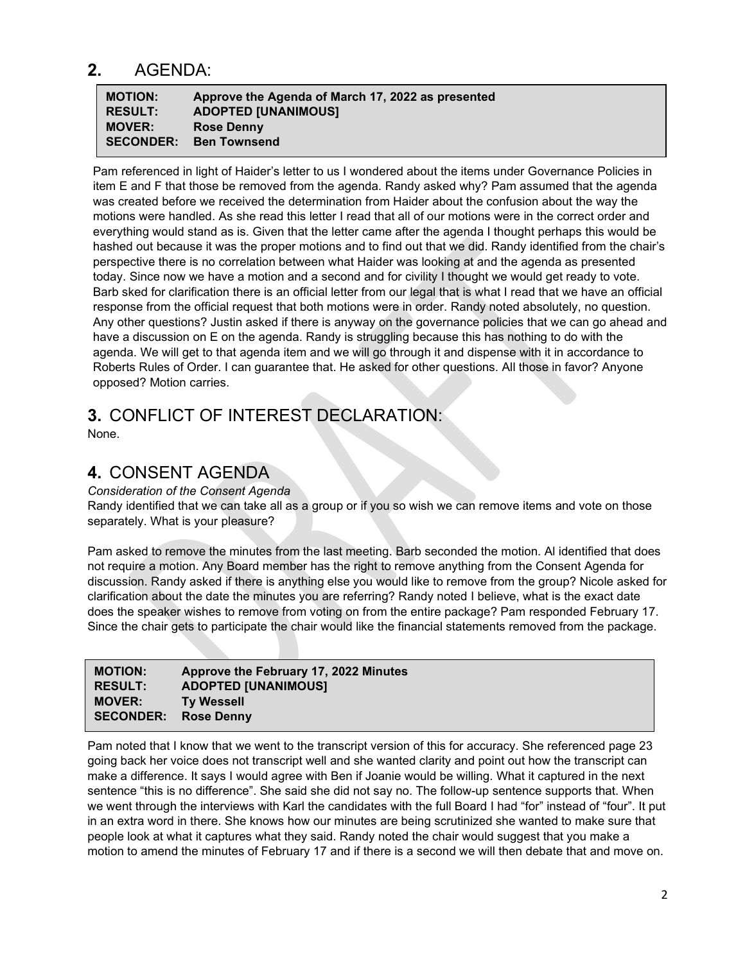## **2.** AGENDA:

| Approve the Agenda of March 17, 2022 as presented |
|---------------------------------------------------|
| <b>ADOPTED [UNANIMOUS]</b>                        |
| <b>Rose Denny</b>                                 |
| <b>Ben Townsend</b>                               |
|                                                   |

Pam referenced in light of Haider's letter to us I wondered about the items under Governance Policies in item E and F that those be removed from the agenda. Randy asked why? Pam assumed that the agenda was created before we received the determination from Haider about the confusion about the way the motions were handled. As she read this letter I read that all of our motions were in the correct order and everything would stand as is. Given that the letter came after the agenda I thought perhaps this would be hashed out because it was the proper motions and to find out that we did. Randy identified from the chair's perspective there is no correlation between what Haider was looking at and the agenda as presented today. Since now we have a motion and a second and for civility I thought we would get ready to vote. Barb sked for clarification there is an official letter from our legal that is what I read that we have an official response from the official request that both motions were in order. Randy noted absolutely, no question. Any other questions? Justin asked if there is anyway on the governance policies that we can go ahead and have a discussion on E on the agenda. Randy is struggling because this has nothing to do with the agenda. We will get to that agenda item and we will go through it and dispense with it in accordance to Roberts Rules of Order. I can guarantee that. He asked for other questions. All those in favor? Anyone opposed? Motion carries.

# **3.** CONFLICT OF INTEREST DECLARATION:

None.

## **4.** CONSENT AGENDA

*Consideration of the Consent Agenda*

Randy identified that we can take all as a group or if you so wish we can remove items and vote on those separately. What is your pleasure?

Pam asked to remove the minutes from the last meeting. Barb seconded the motion. Al identified that does not require a motion. Any Board member has the right to remove anything from the Consent Agenda for discussion. Randy asked if there is anything else you would like to remove from the group? Nicole asked for clarification about the date the minutes you are referring? Randy noted I believe, what is the exact date does the speaker wishes to remove from voting on from the entire package? Pam responded February 17. Since the chair gets to participate the chair would like the financial statements removed from the package.

| <b>MOTION:</b>   | Approve the February 17, 2022 Minutes |
|------------------|---------------------------------------|
| <b>RESULT:</b>   | <b>ADOPTED [UNANIMOUS]</b>            |
| <b>MOVER:</b>    | <b>Ty Wessell</b>                     |
| <b>SECONDER:</b> | <b>Rose Denny</b>                     |

Pam noted that I know that we went to the transcript version of this for accuracy. She referenced page 23 going back her voice does not transcript well and she wanted clarity and point out how the transcript can make a difference. It says I would agree with Ben if Joanie would be willing. What it captured in the next sentence "this is no difference". She said she did not say no. The follow-up sentence supports that. When we went through the interviews with Karl the candidates with the full Board I had "for" instead of "four". It put in an extra word in there. She knows how our minutes are being scrutinized she wanted to make sure that people look at what it captures what they said. Randy noted the chair would suggest that you make a motion to amend the minutes of February 17 and if there is a second we will then debate that and move on.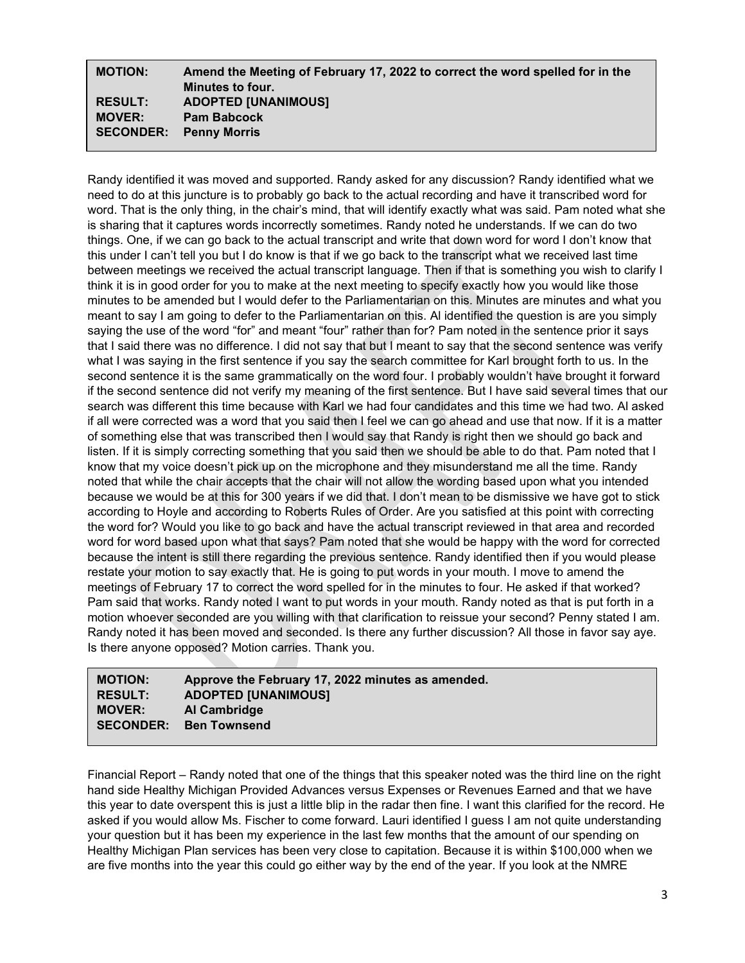#### **MOTION: Amend the Meeting of February 17, 2022 to correct the word spelled for in the Minutes to four. RESULT: ADOPTED [UNANIMOUS] MOVER: Pam Babcock SECONDER: Penny Morris**

Randy identified it was moved and supported. Randy asked for any discussion? Randy identified what we need to do at this juncture is to probably go back to the actual recording and have it transcribed word for word. That is the only thing, in the chair's mind, that will identify exactly what was said. Pam noted what she is sharing that it captures words incorrectly sometimes. Randy noted he understands. If we can do two things. One, if we can go back to the actual transcript and write that down word for word I don't know that this under I can't tell you but I do know is that if we go back to the transcript what we received last time between meetings we received the actual transcript language. Then if that is something you wish to clarify I think it is in good order for you to make at the next meeting to specify exactly how you would like those minutes to be amended but I would defer to the Parliamentarian on this. Minutes are minutes and what you meant to say I am going to defer to the Parliamentarian on this. Al identified the question is are you simply saying the use of the word "for" and meant "four" rather than for? Pam noted in the sentence prior it says that I said there was no difference. I did not say that but I meant to say that the second sentence was verify what I was saying in the first sentence if you say the search committee for Karl brought forth to us. In the second sentence it is the same grammatically on the word four. I probably wouldn't have brought it forward if the second sentence did not verify my meaning of the first sentence. But I have said several times that our search was different this time because with Karl we had four candidates and this time we had two. Al asked if all were corrected was a word that you said then I feel we can go ahead and use that now. If it is a matter of something else that was transcribed then I would say that Randy is right then we should go back and listen. If it is simply correcting something that you said then we should be able to do that. Pam noted that I know that my voice doesn't pick up on the microphone and they misunderstand me all the time. Randy noted that while the chair accepts that the chair will not allow the wording based upon what you intended because we would be at this for 300 years if we did that. I don't mean to be dismissive we have got to stick according to Hoyle and according to Roberts Rules of Order. Are you satisfied at this point with correcting the word for? Would you like to go back and have the actual transcript reviewed in that area and recorded word for word based upon what that says? Pam noted that she would be happy with the word for corrected because the intent is still there regarding the previous sentence. Randy identified then if you would please restate your motion to say exactly that. He is going to put words in your mouth. I move to amend the meetings of February 17 to correct the word spelled for in the minutes to four. He asked if that worked? Pam said that works. Randy noted I want to put words in your mouth. Randy noted as that is put forth in a motion whoever seconded are you willing with that clarification to reissue your second? Penny stated I am. Randy noted it has been moved and seconded. Is there any further discussion? All those in favor say aye. Is there anyone opposed? Motion carries. Thank you.

| <b>MOTION:</b>   | Approve the February 17, 2022 minutes as amended. |
|------------------|---------------------------------------------------|
| <b>RESULT:</b>   | <b>ADOPTED [UNANIMOUS]</b>                        |
| <b>MOVER:</b>    | Al Cambridge                                      |
| <b>SECONDER:</b> | <b>Ben Townsend</b>                               |
|                  |                                                   |

Financial Report – Randy noted that one of the things that this speaker noted was the third line on the right hand side Healthy Michigan Provided Advances versus Expenses or Revenues Earned and that we have this year to date overspent this is just a little blip in the radar then fine. I want this clarified for the record. He asked if you would allow Ms. Fischer to come forward. Lauri identified I guess I am not quite understanding your question but it has been my experience in the last few months that the amount of our spending on Healthy Michigan Plan services has been very close to capitation. Because it is within \$100,000 when we are five months into the year this could go either way by the end of the year. If you look at the NMRE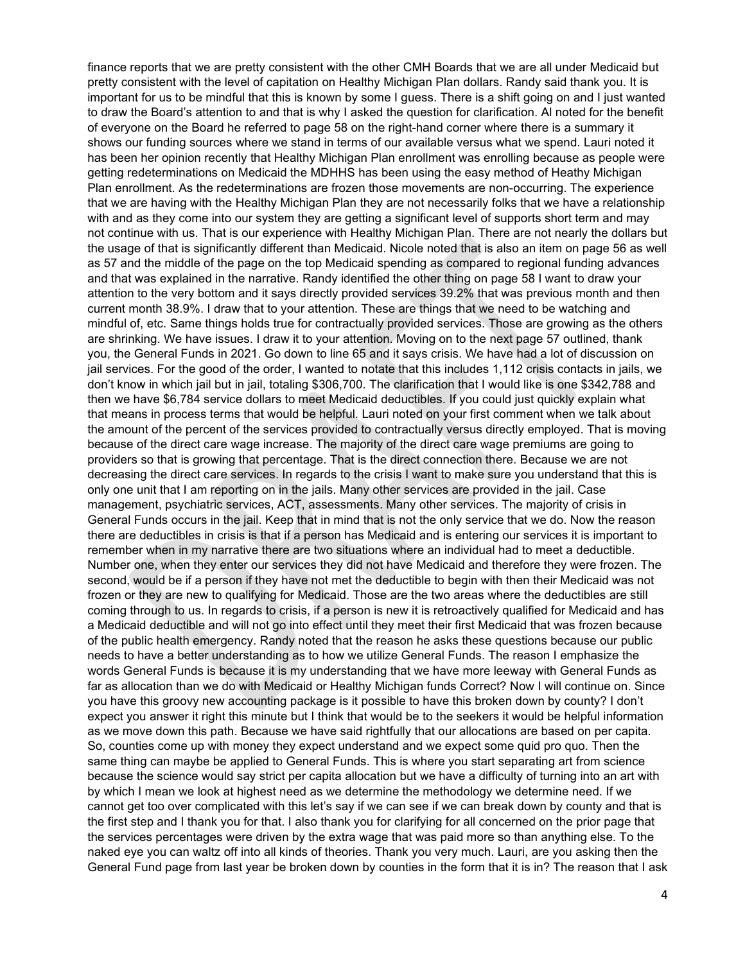finance reports that we are pretty consistent with the other CMH Boards that we are all under Medicaid but pretty consistent with the level of capitation on Healthy Michigan Plan dollars. Randy said thank you. It is important for us to be mindful that this is known by some I guess. There is a shift going on and I just wanted to draw the Board's attention to and that is why I asked the question for clarification. Al noted for the benefit of everyone on the Board he referred to page 58 on the right-hand corner where there is a summary it shows our funding sources where we stand in terms of our available versus what we spend. Lauri noted it has been her opinion recently that Healthy Michigan Plan enrollment was enrolling because as people were getting redeterminations on Medicaid the MDHHS has been using the easy method of Heathy Michigan Plan enrollment. As the redeterminations are frozen those movements are non-occurring. The experience that we are having with the Healthy Michigan Plan they are not necessarily folks that we have a relationship with and as they come into our system they are getting a significant level of supports short term and may not continue with us. That is our experience with Healthy Michigan Plan. There are not nearly the dollars but the usage of that is significantly different than Medicaid. Nicole noted that is also an item on page 56 as well as 57 and the middle of the page on the top Medicaid spending as compared to regional funding advances and that was explained in the narrative. Randy identified the other thing on page 58 I want to draw your attention to the very bottom and it says directly provided services 39.2% that was previous month and then current month 38.9%. I draw that to your attention. These are things that we need to be watching and mindful of, etc. Same things holds true for contractually provided services. Those are growing as the others are shrinking. We have issues. I draw it to your attention. Moving on to the next page 57 outlined, thank you, the General Funds in 2021. Go down to line 65 and it says crisis. We have had a lot of discussion on jail services. For the good of the order, I wanted to notate that this includes 1,112 crisis contacts in jails, we don't know in which jail but in jail, totaling \$306,700. The clarification that I would like is one \$342,788 and then we have \$6,784 service dollars to meet Medicaid deductibles. If you could just quickly explain what that means in process terms that would be helpful. Lauri noted on your first comment when we talk about the amount of the percent of the services provided to contractually versus directly employed. That is moving because of the direct care wage increase. The majority of the direct care wage premiums are going to providers so that is growing that percentage. That is the direct connection there. Because we are not decreasing the direct care services. In regards to the crisis I want to make sure you understand that this is only one unit that I am reporting on in the jails. Many other services are provided in the jail. Case management, psychiatric services, ACT, assessments. Many other services. The majority of crisis in General Funds occurs in the jail. Keep that in mind that is not the only service that we do. Now the reason there are deductibles in crisis is that if a person has Medicaid and is entering our services it is important to remember when in my narrative there are two situations where an individual had to meet a deductible. Number one, when they enter our services they did not have Medicaid and therefore they were frozen. The second, would be if a person if they have not met the deductible to begin with then their Medicaid was not frozen or they are new to qualifying for Medicaid. Those are the two areas where the deductibles are still coming through to us. In regards to crisis, if a person is new it is retroactively qualified for Medicaid and has a Medicaid deductible and will not go into effect until they meet their first Medicaid that was frozen because of the public health emergency. Randy noted that the reason he asks these questions because our public needs to have a better understanding as to how we utilize General Funds. The reason I emphasize the words General Funds is because it is my understanding that we have more leeway with General Funds as far as allocation than we do with Medicaid or Healthy Michigan funds Correct? Now I will continue on. Since you have this groovy new accounting package is it possible to have this broken down by county? I don't expect you answer it right this minute but I think that would be to the seekers it would be helpful information as we move down this path. Because we have said rightfully that our allocations are based on per capita. So, counties come up with money they expect understand and we expect some quid pro quo. Then the same thing can maybe be applied to General Funds. This is where you start separating art from science because the science would say strict per capita allocation but we have a difficulty of turning into an art with by which I mean we look at highest need as we determine the methodology we determine need. If we cannot get too over complicated with this let's say if we can see if we can break down by county and that is the first step and I thank you for that. I also thank you for clarifying for all concerned on the prior page that the services percentages were driven by the extra wage that was paid more so than anything else. To the naked eye you can waltz off into all kinds of theories. Thank you very much. Lauri, are you asking then the General Fund page from last year be broken down by counties in the form that it is in? The reason that I ask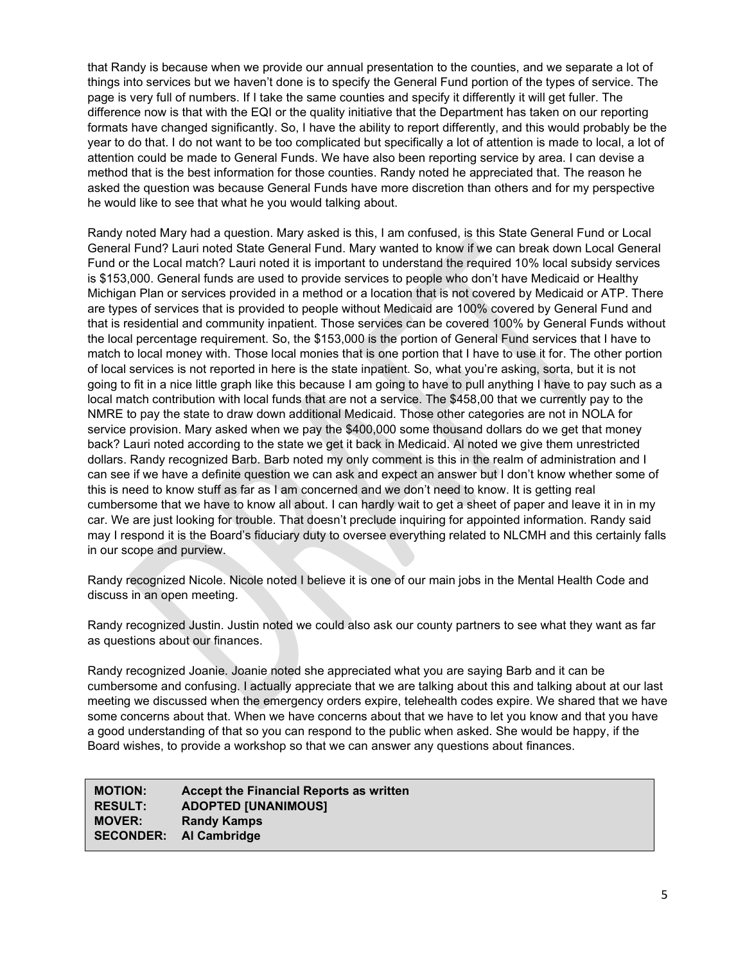that Randy is because when we provide our annual presentation to the counties, and we separate a lot of things into services but we haven't done is to specify the General Fund portion of the types of service. The page is very full of numbers. If I take the same counties and specify it differently it will get fuller. The difference now is that with the EQI or the quality initiative that the Department has taken on our reporting formats have changed significantly. So, I have the ability to report differently, and this would probably be the year to do that. I do not want to be too complicated but specifically a lot of attention is made to local, a lot of attention could be made to General Funds. We have also been reporting service by area. I can devise a method that is the best information for those counties. Randy noted he appreciated that. The reason he asked the question was because General Funds have more discretion than others and for my perspective he would like to see that what he you would talking about.

Randy noted Mary had a question. Mary asked is this, I am confused, is this State General Fund or Local General Fund? Lauri noted State General Fund. Mary wanted to know if we can break down Local General Fund or the Local match? Lauri noted it is important to understand the required 10% local subsidy services is \$153,000. General funds are used to provide services to people who don't have Medicaid or Healthy Michigan Plan or services provided in a method or a location that is not covered by Medicaid or ATP. There are types of services that is provided to people without Medicaid are 100% covered by General Fund and that is residential and community inpatient. Those services can be covered 100% by General Funds without the local percentage requirement. So, the \$153,000 is the portion of General Fund services that I have to match to local money with. Those local monies that is one portion that I have to use it for. The other portion of local services is not reported in here is the state inpatient. So, what you're asking, sorta, but it is not going to fit in a nice little graph like this because I am going to have to pull anything I have to pay such as a local match contribution with local funds that are not a service. The \$458,00 that we currently pay to the NMRE to pay the state to draw down additional Medicaid. Those other categories are not in NOLA for service provision. Mary asked when we pay the \$400,000 some thousand dollars do we get that money back? Lauri noted according to the state we get it back in Medicaid. Al noted we give them unrestricted dollars. Randy recognized Barb. Barb noted my only comment is this in the realm of administration and I can see if we have a definite question we can ask and expect an answer but I don't know whether some of this is need to know stuff as far as I am concerned and we don't need to know. It is getting real cumbersome that we have to know all about. I can hardly wait to get a sheet of paper and leave it in in my car. We are just looking for trouble. That doesn't preclude inquiring for appointed information. Randy said may I respond it is the Board's fiduciary duty to oversee everything related to NLCMH and this certainly falls in our scope and purview.

Randy recognized Nicole. Nicole noted I believe it is one of our main jobs in the Mental Health Code and discuss in an open meeting.

Randy recognized Justin. Justin noted we could also ask our county partners to see what they want as far as questions about our finances.

Randy recognized Joanie. Joanie noted she appreciated what you are saying Barb and it can be cumbersome and confusing. I actually appreciate that we are talking about this and talking about at our last meeting we discussed when the emergency orders expire, telehealth codes expire. We shared that we have some concerns about that. When we have concerns about that we have to let you know and that you have a good understanding of that so you can respond to the public when asked. She would be happy, if the Board wishes, to provide a workshop so that we can answer any questions about finances.

| <b>MOTION:</b>   | <b>Accept the Financial Reports as written</b> |
|------------------|------------------------------------------------|
| <b>RESULT:</b>   | <b>ADOPTED [UNANIMOUS]</b>                     |
| <b>MOVER:</b>    | <b>Randy Kamps</b>                             |
| <b>SECONDER:</b> | Al Cambridge                                   |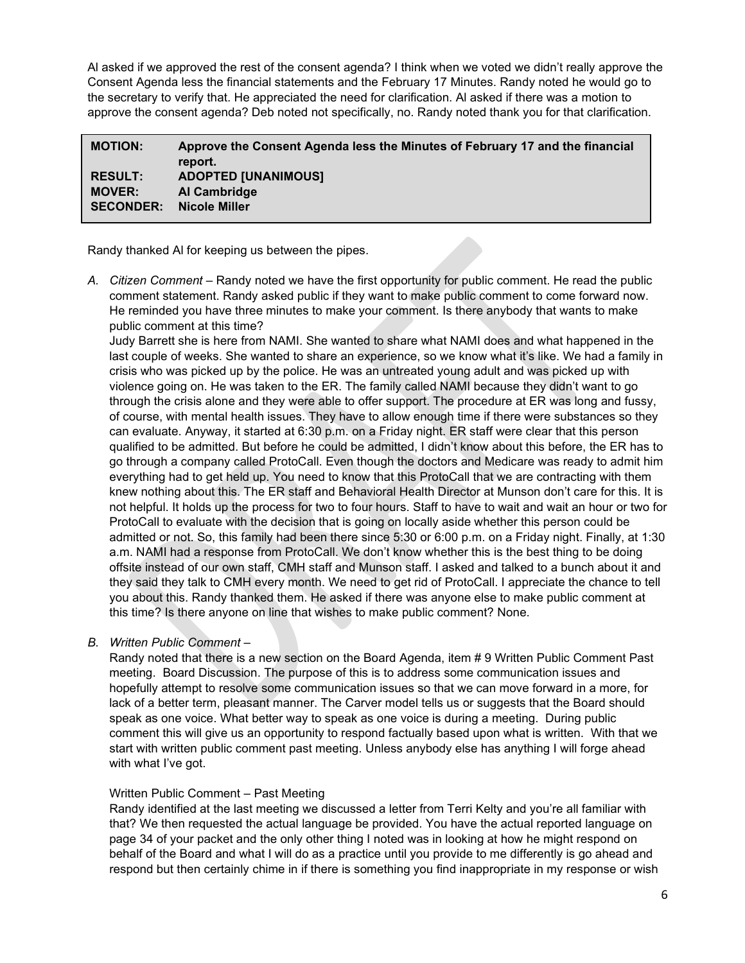Al asked if we approved the rest of the consent agenda? I think when we voted we didn't really approve the Consent Agenda less the financial statements and the February 17 Minutes. Randy noted he would go to the secretary to verify that. He appreciated the need for clarification. Al asked if there was a motion to approve the consent agenda? Deb noted not specifically, no. Randy noted thank you for that clarification.

| <b>MOTION:</b>   | Approve the Consent Agenda less the Minutes of February 17 and the financial |
|------------------|------------------------------------------------------------------------------|
|                  | report.                                                                      |
| <b>RESULT:</b>   | <b>ADOPTED [UNANIMOUS]</b>                                                   |
| <b>MOVER:</b>    | Al Cambridge                                                                 |
| <b>SECONDER:</b> | Nicole Miller                                                                |
|                  |                                                                              |

Randy thanked Al for keeping us between the pipes.

*A. Citizen Comment* – Randy noted we have the first opportunity for public comment. He read the public comment statement. Randy asked public if they want to make public comment to come forward now. He reminded you have three minutes to make your comment. Is there anybody that wants to make public comment at this time?

Judy Barrett she is here from NAMI. She wanted to share what NAMI does and what happened in the last couple of weeks. She wanted to share an experience, so we know what it's like. We had a family in crisis who was picked up by the police. He was an untreated young adult and was picked up with violence going on. He was taken to the ER. The family called NAMI because they didn't want to go through the crisis alone and they were able to offer support. The procedure at ER was long and fussy, of course, with mental health issues. They have to allow enough time if there were substances so they can evaluate. Anyway, it started at 6:30 p.m. on a Friday night. ER staff were clear that this person qualified to be admitted. But before he could be admitted, I didn't know about this before, the ER has to go through a company called ProtoCall. Even though the doctors and Medicare was ready to admit him everything had to get held up. You need to know that this ProtoCall that we are contracting with them knew nothing about this. The ER staff and Behavioral Health Director at Munson don't care for this. It is not helpful. It holds up the process for two to four hours. Staff to have to wait and wait an hour or two for ProtoCall to evaluate with the decision that is going on locally aside whether this person could be admitted or not. So, this family had been there since 5:30 or 6:00 p.m. on a Friday night. Finally, at 1:30 a.m. NAMI had a response from ProtoCall. We don't know whether this is the best thing to be doing offsite instead of our own staff, CMH staff and Munson staff. I asked and talked to a bunch about it and they said they talk to CMH every month. We need to get rid of ProtoCall. I appreciate the chance to tell you about this. Randy thanked them. He asked if there was anyone else to make public comment at this time? Is there anyone on line that wishes to make public comment? None.

#### *B. Written Public Comment –*

Randy noted that there is a new section on the Board Agenda, item # 9 Written Public Comment Past meeting. Board Discussion. The purpose of this is to address some communication issues and hopefully attempt to resolve some communication issues so that we can move forward in a more, for lack of a better term, pleasant manner. The Carver model tells us or suggests that the Board should speak as one voice. What better way to speak as one voice is during a meeting. During public comment this will give us an opportunity to respond factually based upon what is written. With that we start with written public comment past meeting. Unless anybody else has anything I will forge ahead with what I've got.

#### Written Public Comment – Past Meeting

Randy identified at the last meeting we discussed a letter from Terri Kelty and you're all familiar with that? We then requested the actual language be provided. You have the actual reported language on page 34 of your packet and the only other thing I noted was in looking at how he might respond on behalf of the Board and what I will do as a practice until you provide to me differently is go ahead and respond but then certainly chime in if there is something you find inappropriate in my response or wish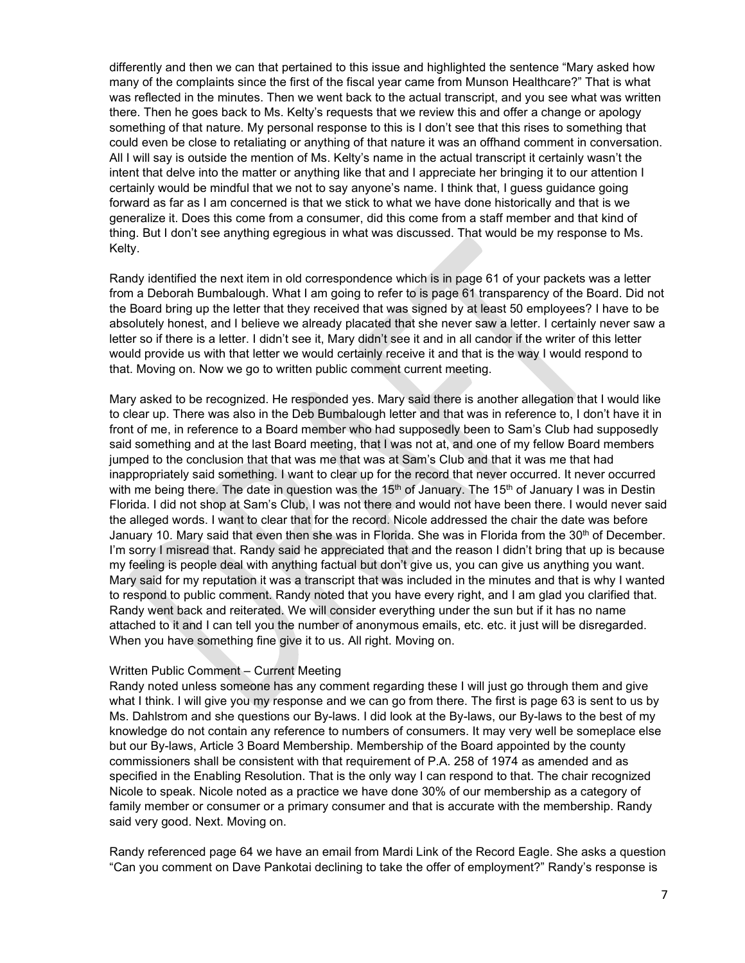differently and then we can that pertained to this issue and highlighted the sentence "Mary asked how many of the complaints since the first of the fiscal year came from Munson Healthcare?" That is what was reflected in the minutes. Then we went back to the actual transcript, and you see what was written there. Then he goes back to Ms. Kelty's requests that we review this and offer a change or apology something of that nature. My personal response to this is I don't see that this rises to something that could even be close to retaliating or anything of that nature it was an offhand comment in conversation. All I will say is outside the mention of Ms. Kelty's name in the actual transcript it certainly wasn't the intent that delve into the matter or anything like that and I appreciate her bringing it to our attention I certainly would be mindful that we not to say anyone's name. I think that, I guess guidance going forward as far as I am concerned is that we stick to what we have done historically and that is we generalize it. Does this come from a consumer, did this come from a staff member and that kind of thing. But I don't see anything egregious in what was discussed. That would be my response to Ms. Kelty.

Randy identified the next item in old correspondence which is in page 61 of your packets was a letter from a Deborah Bumbalough. What I am going to refer to is page 61 transparency of the Board. Did not the Board bring up the letter that they received that was signed by at least 50 employees? I have to be absolutely honest, and I believe we already placated that she never saw a letter. I certainly never saw a letter so if there is a letter. I didn't see it, Mary didn't see it and in all candor if the writer of this letter would provide us with that letter we would certainly receive it and that is the way I would respond to that. Moving on. Now we go to written public comment current meeting.

Mary asked to be recognized. He responded yes. Mary said there is another allegation that I would like to clear up. There was also in the Deb Bumbalough letter and that was in reference to, I don't have it in front of me, in reference to a Board member who had supposedly been to Sam's Club had supposedly said something and at the last Board meeting, that I was not at, and one of my fellow Board members jumped to the conclusion that that was me that was at Sam's Club and that it was me that had inappropriately said something. I want to clear up for the record that never occurred. It never occurred with me being there. The date in question was the  $15<sup>th</sup>$  of January. The  $15<sup>th</sup>$  of January I was in Destin Florida. I did not shop at Sam's Club, I was not there and would not have been there. I would never said the alleged words. I want to clear that for the record. Nicole addressed the chair the date was before January 10. Mary said that even then she was in Florida. She was in Florida from the 30<sup>th</sup> of December. I'm sorry I misread that. Randy said he appreciated that and the reason I didn't bring that up is because my feeling is people deal with anything factual but don't give us, you can give us anything you want. Mary said for my reputation it was a transcript that was included in the minutes and that is why I wanted to respond to public comment. Randy noted that you have every right, and I am glad you clarified that. Randy went back and reiterated. We will consider everything under the sun but if it has no name attached to it and I can tell you the number of anonymous emails, etc. etc. it just will be disregarded. When you have something fine give it to us. All right. Moving on.

#### Written Public Comment – Current Meeting

Randy noted unless someone has any comment regarding these I will just go through them and give what I think. I will give you my response and we can go from there. The first is page 63 is sent to us by Ms. Dahlstrom and she questions our By-laws. I did look at the By-laws, our By-laws to the best of my knowledge do not contain any reference to numbers of consumers. It may very well be someplace else but our By-laws, Article 3 Board Membership. Membership of the Board appointed by the county commissioners shall be consistent with that requirement of P.A. 258 of 1974 as amended and as specified in the Enabling Resolution. That is the only way I can respond to that. The chair recognized Nicole to speak. Nicole noted as a practice we have done 30% of our membership as a category of family member or consumer or a primary consumer and that is accurate with the membership. Randy said very good. Next. Moving on.

Randy referenced page 64 we have an email from Mardi Link of the Record Eagle. She asks a question "Can you comment on Dave Pankotai declining to take the offer of employment?" Randy's response is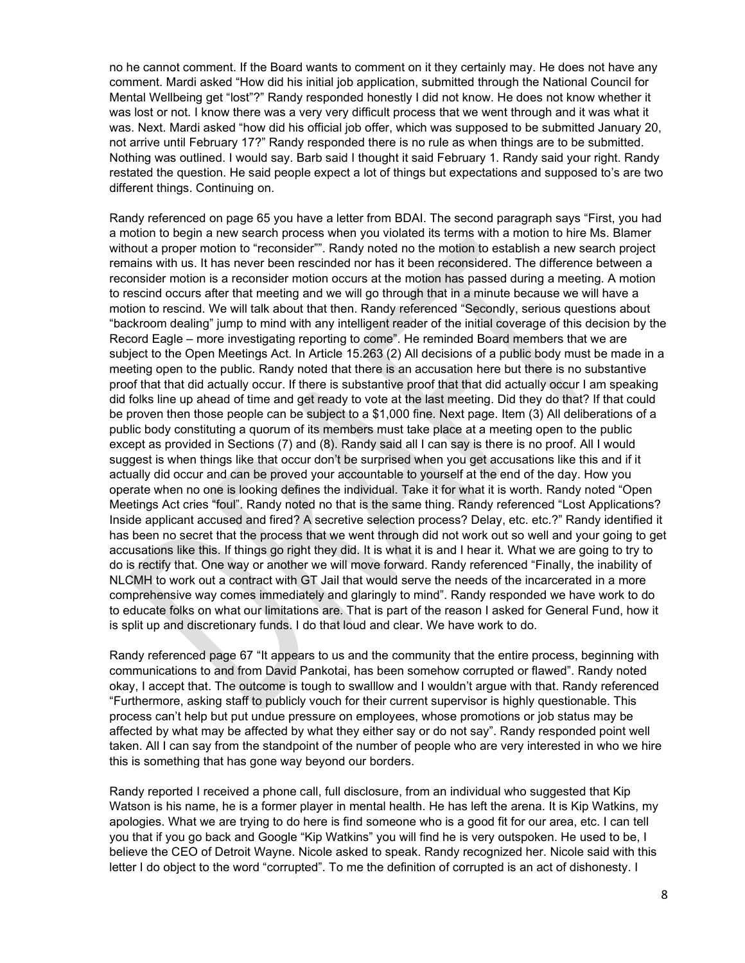no he cannot comment. If the Board wants to comment on it they certainly may. He does not have any comment. Mardi asked "How did his initial job application, submitted through the National Council for Mental Wellbeing get "lost"?" Randy responded honestly I did not know. He does not know whether it was lost or not. I know there was a very very difficult process that we went through and it was what it was. Next. Mardi asked "how did his official job offer, which was supposed to be submitted January 20, not arrive until February 17?" Randy responded there is no rule as when things are to be submitted. Nothing was outlined. I would say. Barb said I thought it said February 1. Randy said your right. Randy restated the question. He said people expect a lot of things but expectations and supposed to's are two different things. Continuing on.

Randy referenced on page 65 you have a letter from BDAI. The second paragraph says "First, you had a motion to begin a new search process when you violated its terms with a motion to hire Ms. Blamer without a proper motion to "reconsider"". Randy noted no the motion to establish a new search project remains with us. It has never been rescinded nor has it been reconsidered. The difference between a reconsider motion is a reconsider motion occurs at the motion has passed during a meeting. A motion to rescind occurs after that meeting and we will go through that in a minute because we will have a motion to rescind. We will talk about that then. Randy referenced "Secondly, serious questions about "backroom dealing" jump to mind with any intelligent reader of the initial coverage of this decision by the Record Eagle – more investigating reporting to come". He reminded Board members that we are subject to the Open Meetings Act. In Article 15.263 (2) All decisions of a public body must be made in a meeting open to the public. Randy noted that there is an accusation here but there is no substantive proof that that did actually occur. If there is substantive proof that that did actually occur I am speaking did folks line up ahead of time and get ready to vote at the last meeting. Did they do that? If that could be proven then those people can be subject to a \$1,000 fine. Next page. Item (3) All deliberations of a public body constituting a quorum of its members must take place at a meeting open to the public except as provided in Sections (7) and (8). Randy said all I can say is there is no proof. All I would suggest is when things like that occur don't be surprised when you get accusations like this and if it actually did occur and can be proved your accountable to yourself at the end of the day. How you operate when no one is looking defines the individual. Take it for what it is worth. Randy noted "Open Meetings Act cries "foul". Randy noted no that is the same thing. Randy referenced "Lost Applications? Inside applicant accused and fired? A secretive selection process? Delay, etc. etc.?" Randy identified it has been no secret that the process that we went through did not work out so well and your going to get accusations like this. If things go right they did. It is what it is and I hear it. What we are going to try to do is rectify that. One way or another we will move forward. Randy referenced "Finally, the inability of NLCMH to work out a contract with GT Jail that would serve the needs of the incarcerated in a more comprehensive way comes immediately and glaringly to mind". Randy responded we have work to do to educate folks on what our limitations are. That is part of the reason I asked for General Fund, how it is split up and discretionary funds. I do that loud and clear. We have work to do.

Randy referenced page 67 "It appears to us and the community that the entire process, beginning with communications to and from David Pankotai, has been somehow corrupted or flawed". Randy noted okay, I accept that. The outcome is tough to swalllow and I wouldn't argue with that. Randy referenced "Furthermore, asking staff to publicly vouch for their current supervisor is highly questionable. This process can't help but put undue pressure on employees, whose promotions or job status may be affected by what may be affected by what they either say or do not say". Randy responded point well taken. All I can say from the standpoint of the number of people who are very interested in who we hire this is something that has gone way beyond our borders.

Randy reported I received a phone call, full disclosure, from an individual who suggested that Kip Watson is his name, he is a former player in mental health. He has left the arena. It is Kip Watkins, my apologies. What we are trying to do here is find someone who is a good fit for our area, etc. I can tell you that if you go back and Google "Kip Watkins" you will find he is very outspoken. He used to be, I believe the CEO of Detroit Wayne. Nicole asked to speak. Randy recognized her. Nicole said with this letter I do object to the word "corrupted". To me the definition of corrupted is an act of dishonesty. I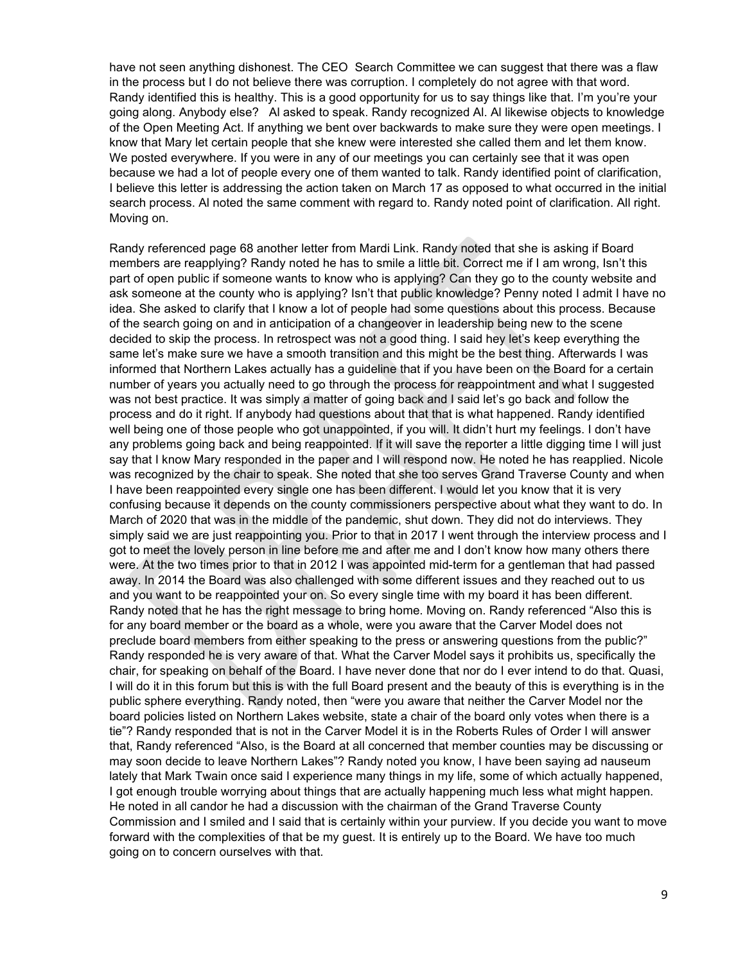have not seen anything dishonest. The CEO Search Committee we can suggest that there was a flaw in the process but I do not believe there was corruption. I completely do not agree with that word. Randy identified this is healthy. This is a good opportunity for us to say things like that. I'm you're your going along. Anybody else? Al asked to speak. Randy recognized Al. Al likewise objects to knowledge of the Open Meeting Act. If anything we bent over backwards to make sure they were open meetings. I know that Mary let certain people that she knew were interested she called them and let them know. We posted everywhere. If you were in any of our meetings you can certainly see that it was open because we had a lot of people every one of them wanted to talk. Randy identified point of clarification, I believe this letter is addressing the action taken on March 17 as opposed to what occurred in the initial search process. Al noted the same comment with regard to. Randy noted point of clarification. All right. Moving on.

Randy referenced page 68 another letter from Mardi Link. Randy noted that she is asking if Board members are reapplying? Randy noted he has to smile a little bit. Correct me if I am wrong, Isn't this part of open public if someone wants to know who is applying? Can they go to the county website and ask someone at the county who is applying? Isn't that public knowledge? Penny noted I admit I have no idea. She asked to clarify that I know a lot of people had some questions about this process. Because of the search going on and in anticipation of a changeover in leadership being new to the scene decided to skip the process. In retrospect was not a good thing. I said hey let's keep everything the same let's make sure we have a smooth transition and this might be the best thing. Afterwards I was informed that Northern Lakes actually has a guideline that if you have been on the Board for a certain number of years you actually need to go through the process for reappointment and what I suggested was not best practice. It was simply a matter of going back and I said let's go back and follow the process and do it right. If anybody had questions about that that is what happened. Randy identified well being one of those people who got unappointed, if you will. It didn't hurt my feelings. I don't have any problems going back and being reappointed. If it will save the reporter a little digging time I will just say that I know Mary responded in the paper and I will respond now. He noted he has reapplied. Nicole was recognized by the chair to speak. She noted that she too serves Grand Traverse County and when I have been reappointed every single one has been different. I would let you know that it is very confusing because it depends on the county commissioners perspective about what they want to do. In March of 2020 that was in the middle of the pandemic, shut down. They did not do interviews. They simply said we are just reappointing you. Prior to that in 2017 I went through the interview process and I got to meet the lovely person in line before me and after me and I don't know how many others there were. At the two times prior to that in 2012 I was appointed mid-term for a gentleman that had passed away. In 2014 the Board was also challenged with some different issues and they reached out to us and you want to be reappointed your on. So every single time with my board it has been different. Randy noted that he has the right message to bring home. Moving on. Randy referenced "Also this is for any board member or the board as a whole, were you aware that the Carver Model does not preclude board members from either speaking to the press or answering questions from the public?" Randy responded he is very aware of that. What the Carver Model says it prohibits us, specifically the chair, for speaking on behalf of the Board. I have never done that nor do I ever intend to do that. Quasi, I will do it in this forum but this is with the full Board present and the beauty of this is everything is in the public sphere everything. Randy noted, then "were you aware that neither the Carver Model nor the board policies listed on Northern Lakes website, state a chair of the board only votes when there is a tie"? Randy responded that is not in the Carver Model it is in the Roberts Rules of Order I will answer that, Randy referenced "Also, is the Board at all concerned that member counties may be discussing or may soon decide to leave Northern Lakes"? Randy noted you know, I have been saying ad nauseum lately that Mark Twain once said I experience many things in my life, some of which actually happened, I got enough trouble worrying about things that are actually happening much less what might happen. He noted in all candor he had a discussion with the chairman of the Grand Traverse County Commission and I smiled and I said that is certainly within your purview. If you decide you want to move forward with the complexities of that be my guest. It is entirely up to the Board. We have too much going on to concern ourselves with that.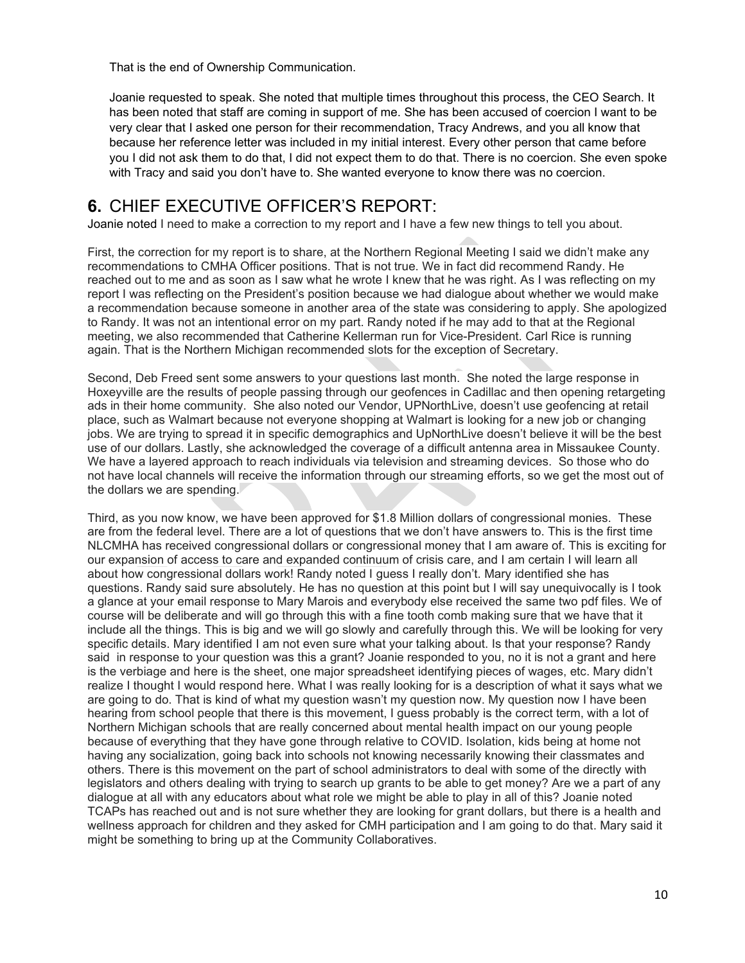That is the end of Ownership Communication.

Joanie requested to speak. She noted that multiple times throughout this process, the CEO Search. It has been noted that staff are coming in support of me. She has been accused of coercion I want to be very clear that I asked one person for their recommendation, Tracy Andrews, and you all know that because her reference letter was included in my initial interest. Every other person that came before you I did not ask them to do that, I did not expect them to do that. There is no coercion. She even spoke with Tracy and said you don't have to. She wanted everyone to know there was no coercion.

# **6.** CHIEF EXECUTIVE OFFICER'S REPORT:

Joanie noted I need to make a correction to my report and I have a few new things to tell you about.

First, the correction for my report is to share, at the Northern Regional Meeting I said we didn't make any recommendations to CMHA Officer positions. That is not true. We in fact did recommend Randy. He reached out to me and as soon as I saw what he wrote I knew that he was right. As I was reflecting on my report I was reflecting on the President's position because we had dialogue about whether we would make a recommendation because someone in another area of the state was considering to apply. She apologized to Randy. It was not an intentional error on my part. Randy noted if he may add to that at the Regional meeting, we also recommended that Catherine Kellerman run for Vice-President. Carl Rice is running again. That is the Northern Michigan recommended slots for the exception of Secretary.

Second, Deb Freed sent some answers to your questions last month. She noted the large response in Hoxeyville are the results of people passing through our geofences in Cadillac and then opening retargeting ads in their home community. She also noted our Vendor, UPNorthLive, doesn't use geofencing at retail place, such as Walmart because not everyone shopping at Walmart is looking for a new job or changing jobs. We are trying to spread it in specific demographics and UpNorthLive doesn't believe it will be the best use of our dollars. Lastly, she acknowledged the coverage of a difficult antenna area in Missaukee County. We have a layered approach to reach individuals via television and streaming devices. So those who do not have local channels will receive the information through our streaming efforts, so we get the most out of the dollars we are spending.

Third, as you now know, we have been approved for \$1.8 Million dollars of congressional monies. These are from the federal level. There are a lot of questions that we don't have answers to. This is the first time NLCMHA has received congressional dollars or congressional money that I am aware of. This is exciting for our expansion of access to care and expanded continuum of crisis care, and I am certain I will learn all about how congressional dollars work! Randy noted I guess I really don't. Mary identified she has questions. Randy said sure absolutely. He has no question at this point but I will say unequivocally is I took a glance at your email response to Mary Marois and everybody else received the same two pdf files. We of course will be deliberate and will go through this with a fine tooth comb making sure that we have that it include all the things. This is big and we will go slowly and carefully through this. We will be looking for very specific details. Mary identified I am not even sure what your talking about. Is that your response? Randy said in response to your question was this a grant? Joanie responded to you, no it is not a grant and here is the verbiage and here is the sheet, one major spreadsheet identifying pieces of wages, etc. Mary didn't realize I thought I would respond here. What I was really looking for is a description of what it says what we are going to do. That is kind of what my question wasn't my question now. My question now I have been hearing from school people that there is this movement, I guess probably is the correct term, with a lot of Northern Michigan schools that are really concerned about mental health impact on our young people because of everything that they have gone through relative to COVID. Isolation, kids being at home not having any socialization, going back into schools not knowing necessarily knowing their classmates and others. There is this movement on the part of school administrators to deal with some of the directly with legislators and others dealing with trying to search up grants to be able to get money? Are we a part of any dialogue at all with any educators about what role we might be able to play in all of this? Joanie noted TCAPs has reached out and is not sure whether they are looking for grant dollars, but there is a health and wellness approach for children and they asked for CMH participation and I am going to do that. Mary said it might be something to bring up at the Community Collaboratives.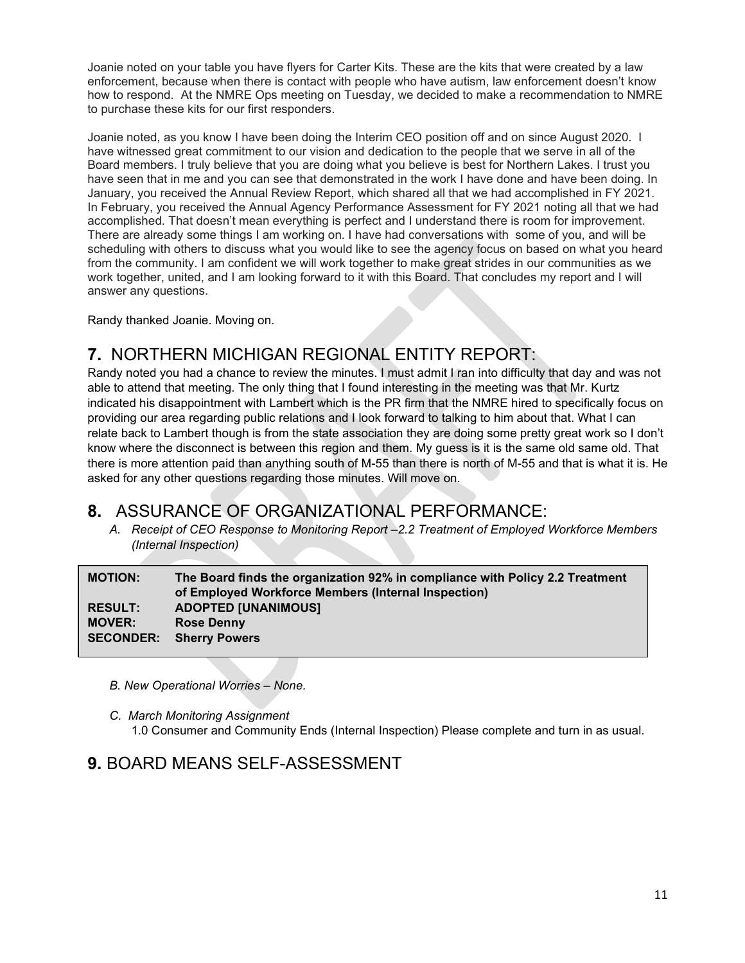Joanie noted on your table you have flyers for Carter Kits. These are the kits that were created by a law enforcement, because when there is contact with people who have autism, law enforcement doesn't know how to respond. At the NMRE Ops meeting on Tuesday, we decided to make a recommendation to NMRE to purchase these kits for our first responders.

Joanie noted, as you know I have been doing the Interim CEO position off and on since August 2020. I have witnessed great commitment to our vision and dedication to the people that we serve in all of the Board members. I truly believe that you are doing what you believe is best for Northern Lakes. I trust you have seen that in me and you can see that demonstrated in the work I have done and have been doing. In January, you received the Annual Review Report, which shared all that we had accomplished in FY 2021. In February, you received the Annual Agency Performance Assessment for FY 2021 noting all that we had accomplished. That doesn't mean everything is perfect and I understand there is room for improvement. There are already some things I am working on. I have had conversations with some of you, and will be scheduling with others to discuss what you would like to see the agency focus on based on what you heard from the community. I am confident we will work together to make great strides in our communities as we work together, united, and I am looking forward to it with this Board. That concludes my report and I will answer any questions.

Randy thanked Joanie. Moving on.

# **7.** NORTHERN MICHIGAN REGIONAL ENTITY REPORT:

Randy noted you had a chance to review the minutes. I must admit I ran into difficulty that day and was not able to attend that meeting. The only thing that I found interesting in the meeting was that Mr. Kurtz indicated his disappointment with Lambert which is the PR firm that the NMRE hired to specifically focus on providing our area regarding public relations and I look forward to talking to him about that. What I can relate back to Lambert though is from the state association they are doing some pretty great work so I don't know where the disconnect is between this region and them. My guess is it is the same old same old. That there is more attention paid than anything south of M-55 than there is north of M-55 and that is what it is. He asked for any other questions regarding those minutes. Will move on.

# **8.** ASSURANCE OF ORGANIZATIONAL PERFORMANCE:

*A. Receipt of CEO Response to Monitoring Report –2.2 Treatment of Employed Workforce Members (Internal Inspection)*

| <b>MOTION:</b>   | The Board finds the organization 92% in compliance with Policy 2.2 Treatment<br>of Employed Workforce Members (Internal Inspection) |
|------------------|-------------------------------------------------------------------------------------------------------------------------------------|
| <b>RESULT:</b>   | <b>ADOPTED [UNANIMOUS]</b>                                                                                                          |
| <b>MOVER:</b>    | <b>Rose Denny</b>                                                                                                                   |
| <b>SECONDER:</b> | <b>Sherry Powers</b>                                                                                                                |

*B. New Operational Worries – None.*

*C. March Monitoring Assignment* 1.0 Consumer and Community Ends (Internal Inspection) Please complete and turn in as usual.

# **9.** BOARD MEANS SELF-ASSESSMENT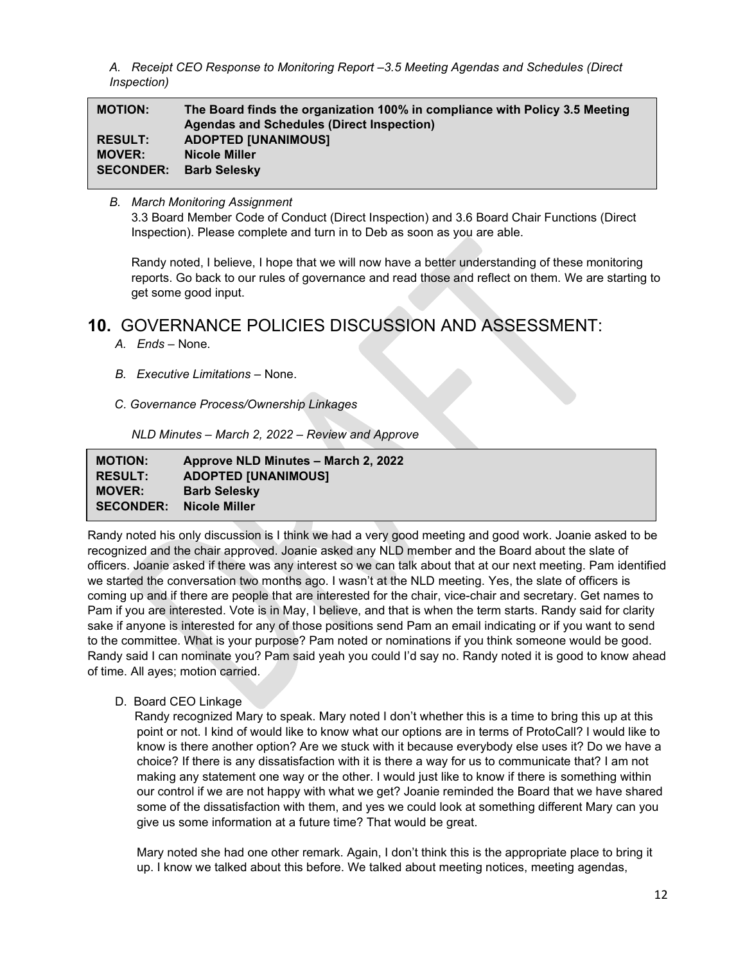*A. Receipt CEO Response to Monitoring Report –3.5 Meeting Agendas and Schedules (Direct Inspection)*

| <b>MOTION:</b>   | The Board finds the organization 100% in compliance with Policy 3.5 Meeting<br>Agendas and Schedules (Direct Inspection) |
|------------------|--------------------------------------------------------------------------------------------------------------------------|
| <b>RESULT:</b>   | <b>ADOPTED IUNANIMOUSI</b>                                                                                               |
| <b>MOVER:</b>    | <b>Nicole Miller</b>                                                                                                     |
| <b>SECONDER:</b> | <b>Barb Selesky</b>                                                                                                      |

*B. March Monitoring Assignment*

3.3 Board Member Code of Conduct (Direct Inspection) and 3.6 Board Chair Functions (Direct Inspection). Please complete and turn in to Deb as soon as you are able.

Randy noted, I believe, I hope that we will now have a better understanding of these monitoring reports. Go back to our rules of governance and read those and reflect on them. We are starting to get some good input.

## **10.** GOVERNANCE POLICIES DISCUSSION AND ASSESSMENT:

- *A. Ends –* None.
- *B. Executive Limitations –* None.
- *C. Governance Process/Ownership Linkages*

 *NLD Minutes – March 2, 2022 – Review and Approve*

| <b>MOTION:</b>   | Approve NLD Minutes - March 2, 2022 |
|------------------|-------------------------------------|
| <b>RESULT:</b>   | <b>ADOPTED [UNANIMOUS]</b>          |
| <b>MOVER:</b>    | <b>Barb Selesky</b>                 |
| <b>SECONDER:</b> | <b>Nicole Miller</b>                |

Randy noted his only discussion is I think we had a very good meeting and good work. Joanie asked to be recognized and the chair approved. Joanie asked any NLD member and the Board about the slate of officers. Joanie asked if there was any interest so we can talk about that at our next meeting. Pam identified we started the conversation two months ago. I wasn't at the NLD meeting. Yes, the slate of officers is coming up and if there are people that are interested for the chair, vice-chair and secretary. Get names to Pam if you are interested. Vote is in May, I believe, and that is when the term starts. Randy said for clarity sake if anyone is interested for any of those positions send Pam an email indicating or if you want to send to the committee. What is your purpose? Pam noted or nominations if you think someone would be good. Randy said I can nominate you? Pam said yeah you could I'd say no. Randy noted it is good to know ahead of time. All ayes; motion carried.

D. Board CEO Linkage

Randy recognized Mary to speak. Mary noted I don't whether this is a time to bring this up at this point or not. I kind of would like to know what our options are in terms of ProtoCall? I would like to know is there another option? Are we stuck with it because everybody else uses it? Do we have a choice? If there is any dissatisfaction with it is there a way for us to communicate that? I am not making any statement one way or the other. I would just like to know if there is something within our control if we are not happy with what we get? Joanie reminded the Board that we have shared some of the dissatisfaction with them, and yes we could look at something different Mary can you give us some information at a future time? That would be great.

Mary noted she had one other remark. Again, I don't think this is the appropriate place to bring it up. I know we talked about this before. We talked about meeting notices, meeting agendas,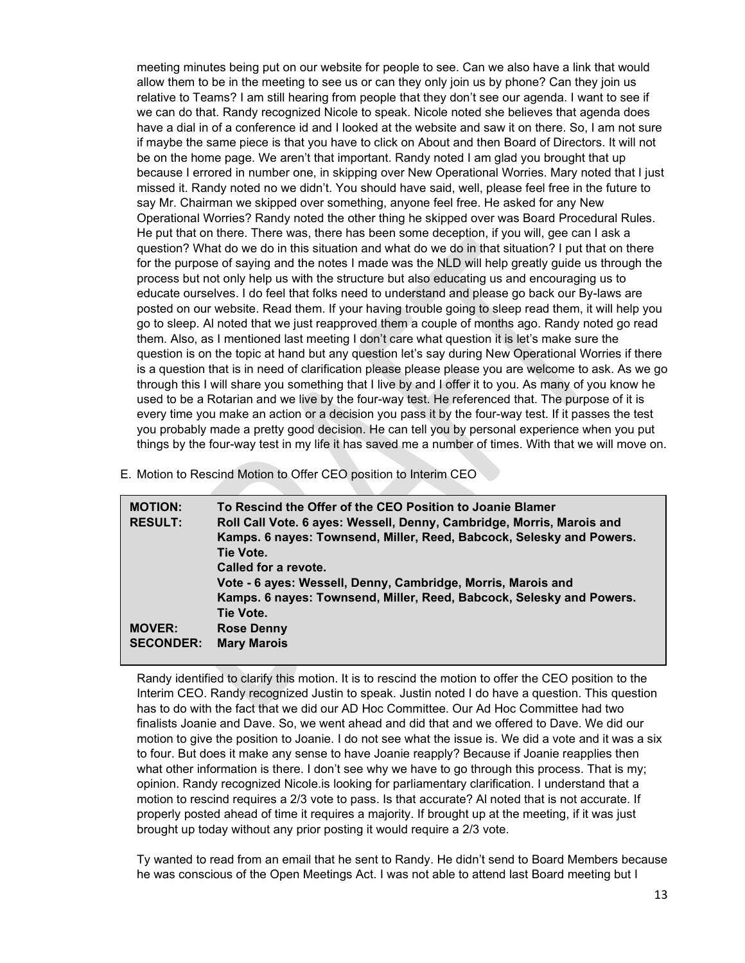meeting minutes being put on our website for people to see. Can we also have a link that would allow them to be in the meeting to see us or can they only join us by phone? Can they join us relative to Teams? I am still hearing from people that they don't see our agenda. I want to see if we can do that. Randy recognized Nicole to speak. Nicole noted she believes that agenda does have a dial in of a conference id and I looked at the website and saw it on there. So, I am not sure if maybe the same piece is that you have to click on About and then Board of Directors. It will not be on the home page. We aren't that important. Randy noted I am glad you brought that up because I errored in number one, in skipping over New Operational Worries. Mary noted that I just missed it. Randy noted no we didn't. You should have said, well, please feel free in the future to say Mr. Chairman we skipped over something, anyone feel free. He asked for any New Operational Worries? Randy noted the other thing he skipped over was Board Procedural Rules. He put that on there. There was, there has been some deception, if you will, gee can I ask a question? What do we do in this situation and what do we do in that situation? I put that on there for the purpose of saying and the notes I made was the NLD will help greatly guide us through the process but not only help us with the structure but also educating us and encouraging us to educate ourselves. I do feel that folks need to understand and please go back our By-laws are posted on our website. Read them. If your having trouble going to sleep read them, it will help you go to sleep. Al noted that we just reapproved them a couple of months ago. Randy noted go read them. Also, as I mentioned last meeting I don't care what question it is let's make sure the question is on the topic at hand but any question let's say during New Operational Worries if there is a question that is in need of clarification please please please you are welcome to ask. As we go through this I will share you something that I live by and I offer it to you. As many of you know he used to be a Rotarian and we live by the four-way test. He referenced that. The purpose of it is every time you make an action or a decision you pass it by the four-way test. If it passes the test you probably made a pretty good decision. He can tell you by personal experience when you put things by the four-way test in my life it has saved me a number of times. With that we will move on.

E. Motion to Rescind Motion to Offer CEO position to Interim CEO

| <b>MOTION:</b><br><b>RESULT:</b>  | To Rescind the Offer of the CEO Position to Joanie Blamer<br>Roll Call Vote. 6 ayes: Wessell, Denny, Cambridge, Morris, Marois and<br>Kamps. 6 nayes: Townsend, Miller, Reed, Babcock, Selesky and Powers.<br>Tie Vote.<br>Called for a revote.<br>Vote - 6 ayes: Wessell, Denny, Cambridge, Morris, Marois and<br>Kamps. 6 nayes: Townsend, Miller, Reed, Babcock, Selesky and Powers.<br>Tie Vote. |
|-----------------------------------|------------------------------------------------------------------------------------------------------------------------------------------------------------------------------------------------------------------------------------------------------------------------------------------------------------------------------------------------------------------------------------------------------|
| <b>MOVER:</b><br><b>SECONDER:</b> | <b>Rose Denny</b><br><b>Mary Marois</b>                                                                                                                                                                                                                                                                                                                                                              |
|                                   |                                                                                                                                                                                                                                                                                                                                                                                                      |

Randy identified to clarify this motion. It is to rescind the motion to offer the CEO position to the Interim CEO. Randy recognized Justin to speak. Justin noted I do have a question. This question has to do with the fact that we did our AD Hoc Committee. Our Ad Hoc Committee had two finalists Joanie and Dave. So, we went ahead and did that and we offered to Dave. We did our motion to give the position to Joanie. I do not see what the issue is. We did a vote and it was a six to four. But does it make any sense to have Joanie reapply? Because if Joanie reapplies then what other information is there. I don't see why we have to go through this process. That is my; opinion. Randy recognized Nicole.is looking for parliamentary clarification. I understand that a motion to rescind requires a 2/3 vote to pass. Is that accurate? Al noted that is not accurate. If properly posted ahead of time it requires a majority. If brought up at the meeting, if it was just brought up today without any prior posting it would require a 2/3 vote.

Ty wanted to read from an email that he sent to Randy. He didn't send to Board Members because he was conscious of the Open Meetings Act. I was not able to attend last Board meeting but I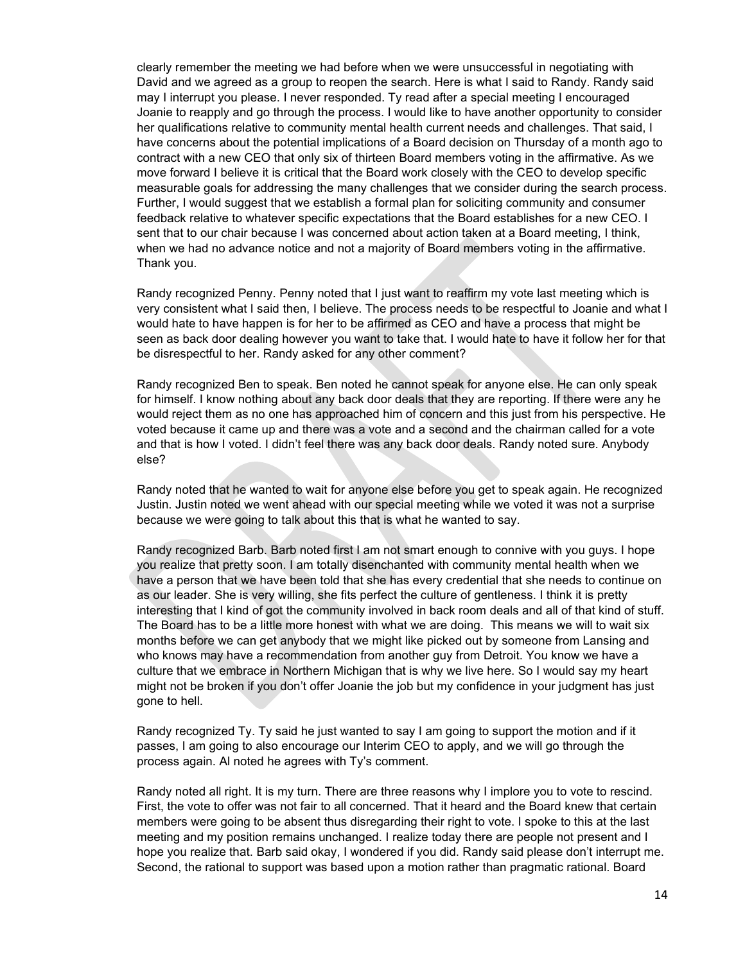clearly remember the meeting we had before when we were unsuccessful in negotiating with David and we agreed as a group to reopen the search. Here is what I said to Randy. Randy said may I interrupt you please. I never responded. Ty read after a special meeting I encouraged Joanie to reapply and go through the process. I would like to have another opportunity to consider her qualifications relative to community mental health current needs and challenges. That said, I have concerns about the potential implications of a Board decision on Thursday of a month ago to contract with a new CEO that only six of thirteen Board members voting in the affirmative. As we move forward I believe it is critical that the Board work closely with the CEO to develop specific measurable goals for addressing the many challenges that we consider during the search process. Further, I would suggest that we establish a formal plan for soliciting community and consumer feedback relative to whatever specific expectations that the Board establishes for a new CEO. I sent that to our chair because I was concerned about action taken at a Board meeting, I think, when we had no advance notice and not a majority of Board members voting in the affirmative. Thank you.

Randy recognized Penny. Penny noted that I just want to reaffirm my vote last meeting which is very consistent what I said then, I believe. The process needs to be respectful to Joanie and what I would hate to have happen is for her to be affirmed as CEO and have a process that might be seen as back door dealing however you want to take that. I would hate to have it follow her for that be disrespectful to her. Randy asked for any other comment?

Randy recognized Ben to speak. Ben noted he cannot speak for anyone else. He can only speak for himself. I know nothing about any back door deals that they are reporting. If there were any he would reject them as no one has approached him of concern and this just from his perspective. He voted because it came up and there was a vote and a second and the chairman called for a vote and that is how I voted. I didn't feel there was any back door deals. Randy noted sure. Anybody else?

Randy noted that he wanted to wait for anyone else before you get to speak again. He recognized Justin. Justin noted we went ahead with our special meeting while we voted it was not a surprise because we were going to talk about this that is what he wanted to say.

Randy recognized Barb. Barb noted first I am not smart enough to connive with you guys. I hope you realize that pretty soon. I am totally disenchanted with community mental health when we have a person that we have been told that she has every credential that she needs to continue on as our leader. She is very willing, she fits perfect the culture of gentleness. I think it is pretty interesting that I kind of got the community involved in back room deals and all of that kind of stuff. The Board has to be a little more honest with what we are doing. This means we will to wait six months before we can get anybody that we might like picked out by someone from Lansing and who knows may have a recommendation from another guy from Detroit. You know we have a culture that we embrace in Northern Michigan that is why we live here. So I would say my heart might not be broken if you don't offer Joanie the job but my confidence in your judgment has just gone to hell.

Randy recognized Ty. Ty said he just wanted to say I am going to support the motion and if it passes, I am going to also encourage our Interim CEO to apply, and we will go through the process again. Al noted he agrees with Ty's comment.

Randy noted all right. It is my turn. There are three reasons why I implore you to vote to rescind. First, the vote to offer was not fair to all concerned. That it heard and the Board knew that certain members were going to be absent thus disregarding their right to vote. I spoke to this at the last meeting and my position remains unchanged. I realize today there are people not present and I hope you realize that. Barb said okay, I wondered if you did. Randy said please don't interrupt me. Second, the rational to support was based upon a motion rather than pragmatic rational. Board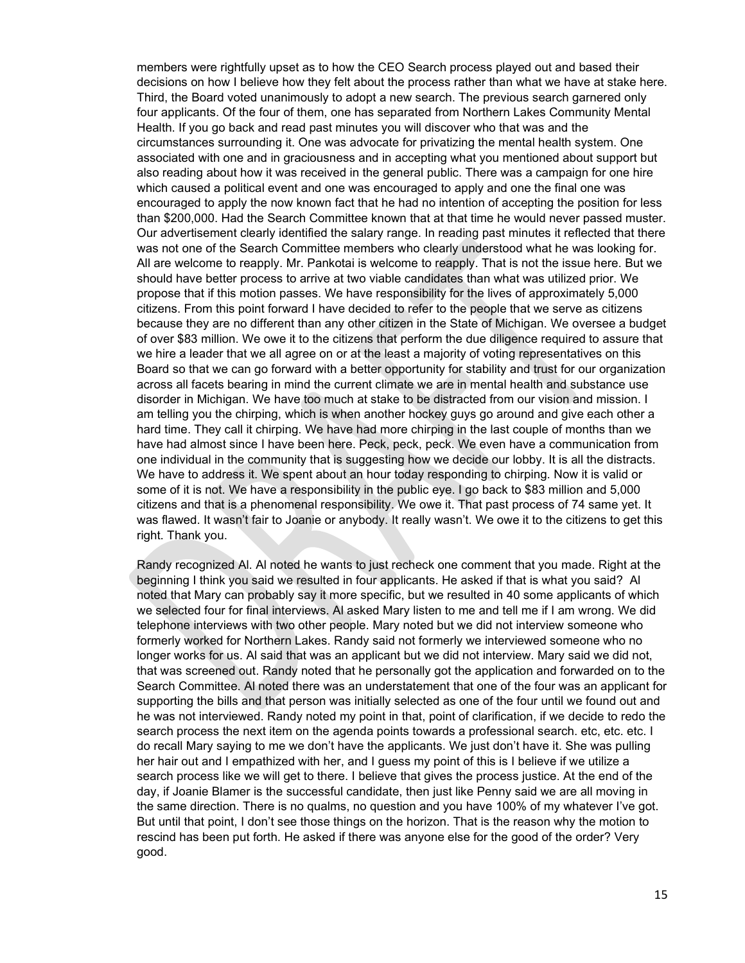members were rightfully upset as to how the CEO Search process played out and based their decisions on how I believe how they felt about the process rather than what we have at stake here. Third, the Board voted unanimously to adopt a new search. The previous search garnered only four applicants. Of the four of them, one has separated from Northern Lakes Community Mental Health. If you go back and read past minutes you will discover who that was and the circumstances surrounding it. One was advocate for privatizing the mental health system. One associated with one and in graciousness and in accepting what you mentioned about support but also reading about how it was received in the general public. There was a campaign for one hire which caused a political event and one was encouraged to apply and one the final one was encouraged to apply the now known fact that he had no intention of accepting the position for less than \$200,000. Had the Search Committee known that at that time he would never passed muster. Our advertisement clearly identified the salary range. In reading past minutes it reflected that there was not one of the Search Committee members who clearly understood what he was looking for. All are welcome to reapply. Mr. Pankotai is welcome to reapply. That is not the issue here. But we should have better process to arrive at two viable candidates than what was utilized prior. We propose that if this motion passes. We have responsibility for the lives of approximately 5,000 citizens. From this point forward I have decided to refer to the people that we serve as citizens because they are no different than any other citizen in the State of Michigan. We oversee a budget of over \$83 million. We owe it to the citizens that perform the due diligence required to assure that we hire a leader that we all agree on or at the least a majority of voting representatives on this Board so that we can go forward with a better opportunity for stability and trust for our organization across all facets bearing in mind the current climate we are in mental health and substance use disorder in Michigan. We have too much at stake to be distracted from our vision and mission. I am telling you the chirping, which is when another hockey guys go around and give each other a hard time. They call it chirping. We have had more chirping in the last couple of months than we have had almost since I have been here. Peck, peck, peck. We even have a communication from one individual in the community that is suggesting how we decide our lobby. It is all the distracts. We have to address it. We spent about an hour today responding to chirping. Now it is valid or some of it is not. We have a responsibility in the public eye. I go back to \$83 million and 5,000 citizens and that is a phenomenal responsibility. We owe it. That past process of 74 same yet. It was flawed. It wasn't fair to Joanie or anybody. It really wasn't. We owe it to the citizens to get this right. Thank you.

Randy recognized Al. Al noted he wants to just recheck one comment that you made. Right at the beginning I think you said we resulted in four applicants. He asked if that is what you said? Al noted that Mary can probably say it more specific, but we resulted in 40 some applicants of which we selected four for final interviews. Al asked Mary listen to me and tell me if I am wrong. We did telephone interviews with two other people. Mary noted but we did not interview someone who formerly worked for Northern Lakes. Randy said not formerly we interviewed someone who no longer works for us. Al said that was an applicant but we did not interview. Mary said we did not, that was screened out. Randy noted that he personally got the application and forwarded on to the Search Committee. Al noted there was an understatement that one of the four was an applicant for supporting the bills and that person was initially selected as one of the four until we found out and he was not interviewed. Randy noted my point in that, point of clarification, if we decide to redo the search process the next item on the agenda points towards a professional search. etc, etc. etc. I do recall Mary saying to me we don't have the applicants. We just don't have it. She was pulling her hair out and I empathized with her, and I guess my point of this is I believe if we utilize a search process like we will get to there. I believe that gives the process justice. At the end of the day, if Joanie Blamer is the successful candidate, then just like Penny said we are all moving in the same direction. There is no qualms, no question and you have 100% of my whatever I've got. But until that point, I don't see those things on the horizon. That is the reason why the motion to rescind has been put forth. He asked if there was anyone else for the good of the order? Very good.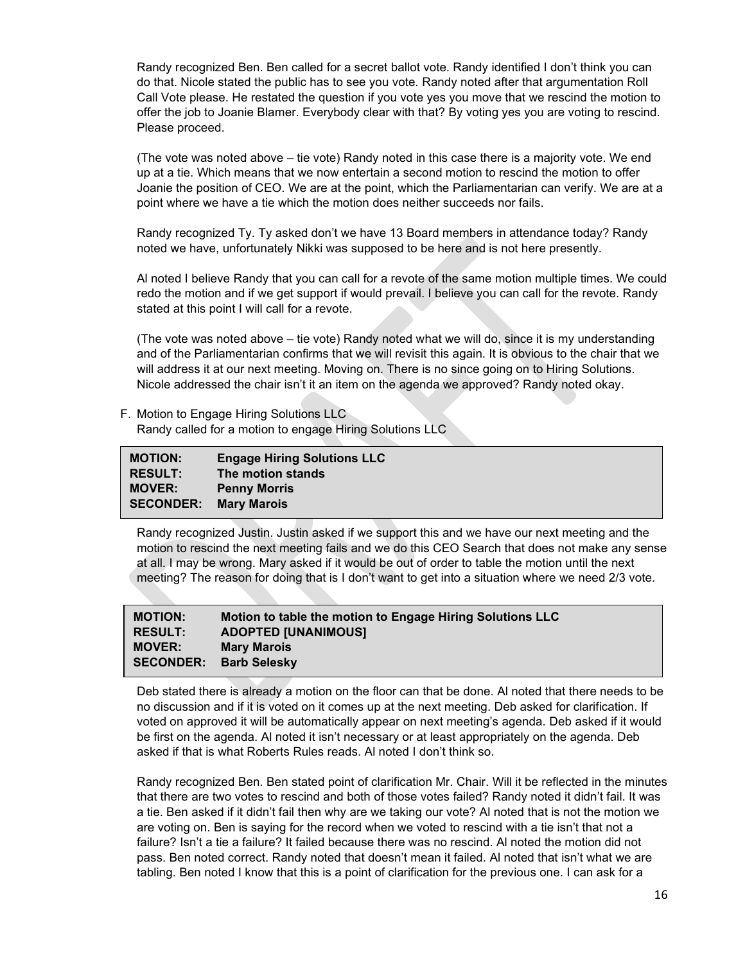Randy recognized Ben. Ben called for a secret ballot vote. Randy identified I don't think you can do that. Nicole stated the public has to see you vote. Randy noted after that argumentation Roll Call Vote please. He restated the question if you vote yes you move that we rescind the motion to offer the job to Joanie Blamer. Everybody clear with that? By voting yes you are voting to rescind. Please proceed.

(The vote was noted above – tie vote) Randy noted in this case there is a majority vote. We end up at a tie. Which means that we now entertain a second motion to rescind the motion to offer Joanie the position of CEO. We are at the point, which the Parliamentarian can verify. We are at a point where we have a tie which the motion does neither succeeds nor fails.

Randy recognized Ty. Ty asked don't we have 13 Board members in attendance today? Randy noted we have, unfortunately Nikki was supposed to be here and is not here presently.

Al noted I believe Randy that you can call for a revote of the same motion multiple times. We could redo the motion and if we get support if would prevail. I believe you can call for the revote. Randy stated at this point I will call for a revote.

(The vote was noted above – tie vote) Randy noted what we will do, since it is my understanding and of the Parliamentarian confirms that we will revisit this again. It is obvious to the chair that we will address it at our next meeting. Moving on. There is no since going on to Hiring Solutions. Nicole addressed the chair isn't it an item on the agenda we approved? Randy noted okay.

F. Motion to Engage Hiring Solutions LLC Randy called for a motion to engage Hiring Solutions LLC

| <b>MOTION:</b>   | <b>Engage Hiring Solutions LLC</b> |
|------------------|------------------------------------|
| <b>RESULT:</b>   | The motion stands                  |
| <b>MOVER:</b>    | <b>Penny Morris</b>                |
| <b>SECONDER:</b> | <b>Mary Marois</b>                 |

Randy recognized Justin. Justin asked if we support this and we have our next meeting and the motion to rescind the next meeting fails and we do this CEO Search that does not make any sense at all. I may be wrong. Mary asked if it would be out of order to table the motion until the next meeting? The reason for doing that is I don't want to get into a situation where we need 2/3 vote.

| <b>MOTION:</b>   | Motion to table the motion to Engage Hiring Solutions LLC |
|------------------|-----------------------------------------------------------|
| <b>RESULT:</b>   | <b>ADOPTED [UNANIMOUS]</b>                                |
| <b>MOVER:</b>    | <b>Mary Marois</b>                                        |
| <b>SECONDER:</b> | <b>Barb Selesky</b>                                       |

Deb stated there is already a motion on the floor can that be done. Al noted that there needs to be no discussion and if it is voted on it comes up at the next meeting. Deb asked for clarification. If voted on approved it will be automatically appear on next meeting's agenda. Deb asked if it would be first on the agenda. Al noted it isn't necessary or at least appropriately on the agenda. Deb asked if that is what Roberts Rules reads. Al noted I don't think so.

Randy recognized Ben. Ben stated point of clarification Mr. Chair. Will it be reflected in the minutes that there are two votes to rescind and both of those votes failed? Randy noted it didn't fail. It was a tie. Ben asked if it didn't fail then why are we taking our vote? Al noted that is not the motion we are voting on. Ben is saying for the record when we voted to rescind with a tie isn't that not a failure? Isn't a tie a failure? It failed because there was no rescind. Al noted the motion did not pass. Ben noted correct. Randy noted that doesn't mean it failed. Al noted that isn't what we are tabling. Ben noted I know that this is a point of clarification for the previous one. I can ask for a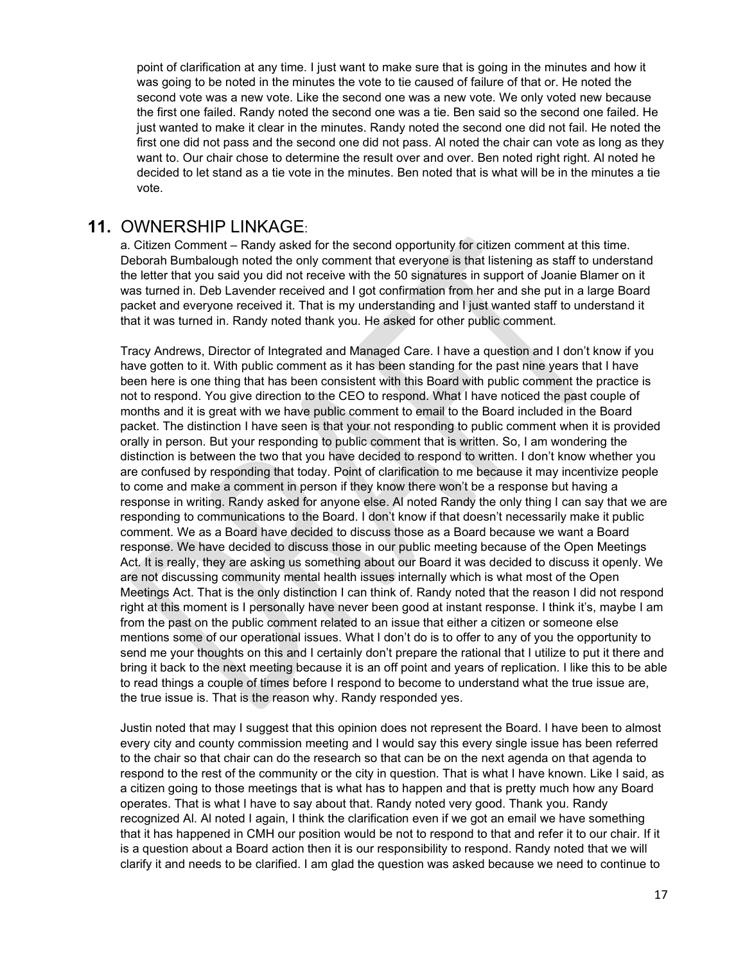point of clarification at any time. I just want to make sure that is going in the minutes and how it was going to be noted in the minutes the vote to tie caused of failure of that or. He noted the second vote was a new vote. Like the second one was a new vote. We only voted new because the first one failed. Randy noted the second one was a tie. Ben said so the second one failed. He just wanted to make it clear in the minutes. Randy noted the second one did not fail. He noted the first one did not pass and the second one did not pass. Al noted the chair can vote as long as they want to. Our chair chose to determine the result over and over. Ben noted right right. Al noted he decided to let stand as a tie vote in the minutes. Ben noted that is what will be in the minutes a tie vote.

### **11.** OWNERSHIP LINKAGE:

a. Citizen Comment – Randy asked for the second opportunity for citizen comment at this time. Deborah Bumbalough noted the only comment that everyone is that listening as staff to understand the letter that you said you did not receive with the 50 signatures in support of Joanie Blamer on it was turned in. Deb Lavender received and I got confirmation from her and she put in a large Board packet and everyone received it. That is my understanding and I just wanted staff to understand it that it was turned in. Randy noted thank you. He asked for other public comment.

Tracy Andrews, Director of Integrated and Managed Care. I have a question and I don't know if you have gotten to it. With public comment as it has been standing for the past nine years that I have been here is one thing that has been consistent with this Board with public comment the practice is not to respond. You give direction to the CEO to respond. What I have noticed the past couple of months and it is great with we have public comment to email to the Board included in the Board packet. The distinction I have seen is that your not responding to public comment when it is provided orally in person. But your responding to public comment that is written. So, I am wondering the distinction is between the two that you have decided to respond to written. I don't know whether you are confused by responding that today. Point of clarification to me because it may incentivize people to come and make a comment in person if they know there won't be a response but having a response in writing. Randy asked for anyone else. Al noted Randy the only thing I can say that we are responding to communications to the Board. I don't know if that doesn't necessarily make it public comment. We as a Board have decided to discuss those as a Board because we want a Board response. We have decided to discuss those in our public meeting because of the Open Meetings Act. It is really, they are asking us something about our Board it was decided to discuss it openly. We are not discussing community mental health issues internally which is what most of the Open Meetings Act. That is the only distinction I can think of. Randy noted that the reason I did not respond right at this moment is I personally have never been good at instant response. I think it's, maybe I am from the past on the public comment related to an issue that either a citizen or someone else mentions some of our operational issues. What I don't do is to offer to any of you the opportunity to send me your thoughts on this and I certainly don't prepare the rational that I utilize to put it there and bring it back to the next meeting because it is an off point and years of replication. I like this to be able to read things a couple of times before I respond to become to understand what the true issue are, the true issue is. That is the reason why. Randy responded yes.

Justin noted that may I suggest that this opinion does not represent the Board. I have been to almost every city and county commission meeting and I would say this every single issue has been referred to the chair so that chair can do the research so that can be on the next agenda on that agenda to respond to the rest of the community or the city in question. That is what I have known. Like I said, as a citizen going to those meetings that is what has to happen and that is pretty much how any Board operates. That is what I have to say about that. Randy noted very good. Thank you. Randy recognized Al. Al noted I again, I think the clarification even if we got an email we have something that it has happened in CMH our position would be not to respond to that and refer it to our chair. If it is a question about a Board action then it is our responsibility to respond. Randy noted that we will clarify it and needs to be clarified. I am glad the question was asked because we need to continue to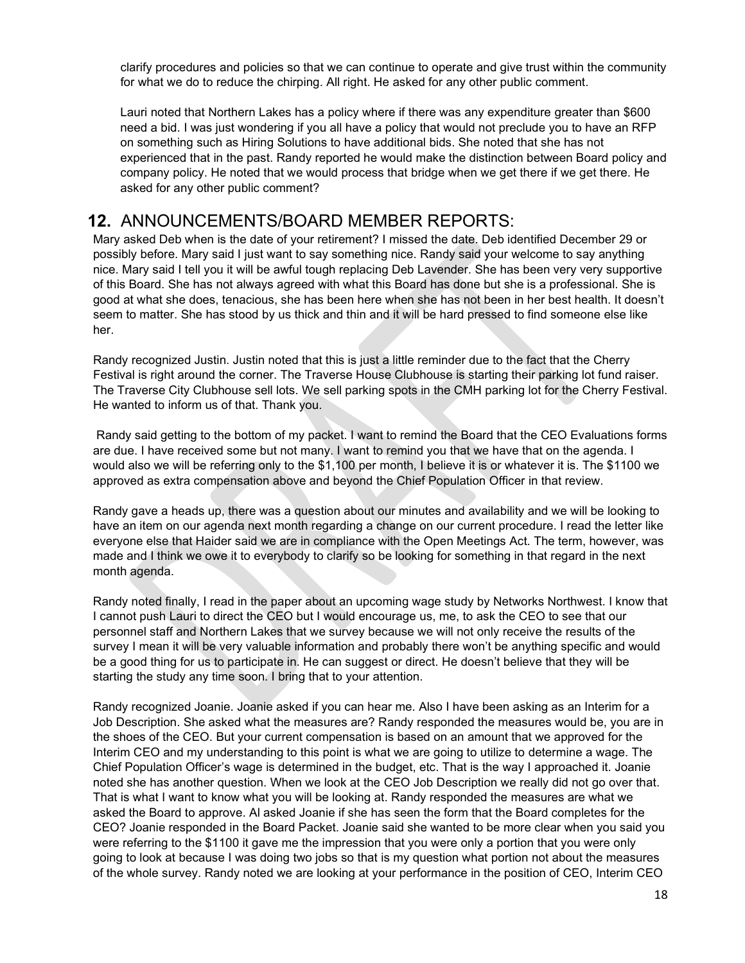clarify procedures and policies so that we can continue to operate and give trust within the community for what we do to reduce the chirping. All right. He asked for any other public comment.

Lauri noted that Northern Lakes has a policy where if there was any expenditure greater than \$600 need a bid. I was just wondering if you all have a policy that would not preclude you to have an RFP on something such as Hiring Solutions to have additional bids. She noted that she has not experienced that in the past. Randy reported he would make the distinction between Board policy and company policy. He noted that we would process that bridge when we get there if we get there. He asked for any other public comment?

### **12.** ANNOUNCEMENTS/BOARD MEMBER REPORTS:

Mary asked Deb when is the date of your retirement? I missed the date. Deb identified December 29 or possibly before. Mary said I just want to say something nice. Randy said your welcome to say anything nice. Mary said I tell you it will be awful tough replacing Deb Lavender. She has been very very supportive of this Board. She has not always agreed with what this Board has done but she is a professional. She is good at what she does, tenacious, she has been here when she has not been in her best health. It doesn't seem to matter. She has stood by us thick and thin and it will be hard pressed to find someone else like her.

Randy recognized Justin. Justin noted that this is just a little reminder due to the fact that the Cherry Festival is right around the corner. The Traverse House Clubhouse is starting their parking lot fund raiser. The Traverse City Clubhouse sell lots. We sell parking spots in the CMH parking lot for the Cherry Festival. He wanted to inform us of that. Thank you.

Randy said getting to the bottom of my packet. I want to remind the Board that the CEO Evaluations forms are due. I have received some but not many. I want to remind you that we have that on the agenda. I would also we will be referring only to the \$1,100 per month, I believe it is or whatever it is. The \$1100 we approved as extra compensation above and beyond the Chief Population Officer in that review.

Randy gave a heads up, there was a question about our minutes and availability and we will be looking to have an item on our agenda next month regarding a change on our current procedure. I read the letter like everyone else that Haider said we are in compliance with the Open Meetings Act. The term, however, was made and I think we owe it to everybody to clarify so be looking for something in that regard in the next month agenda.

Randy noted finally, I read in the paper about an upcoming wage study by Networks Northwest. I know that I cannot push Lauri to direct the CEO but I would encourage us, me, to ask the CEO to see that our personnel staff and Northern Lakes that we survey because we will not only receive the results of the survey I mean it will be very valuable information and probably there won't be anything specific and would be a good thing for us to participate in. He can suggest or direct. He doesn't believe that they will be starting the study any time soon. I bring that to your attention.

Randy recognized Joanie. Joanie asked if you can hear me. Also I have been asking as an Interim for a Job Description. She asked what the measures are? Randy responded the measures would be, you are in the shoes of the CEO. But your current compensation is based on an amount that we approved for the Interim CEO and my understanding to this point is what we are going to utilize to determine a wage. The Chief Population Officer's wage is determined in the budget, etc. That is the way I approached it. Joanie noted she has another question. When we look at the CEO Job Description we really did not go over that. That is what I want to know what you will be looking at. Randy responded the measures are what we asked the Board to approve. Al asked Joanie if she has seen the form that the Board completes for the CEO? Joanie responded in the Board Packet. Joanie said she wanted to be more clear when you said you were referring to the \$1100 it gave me the impression that you were only a portion that you were only going to look at because I was doing two jobs so that is my question what portion not about the measures of the whole survey. Randy noted we are looking at your performance in the position of CEO, Interim CEO